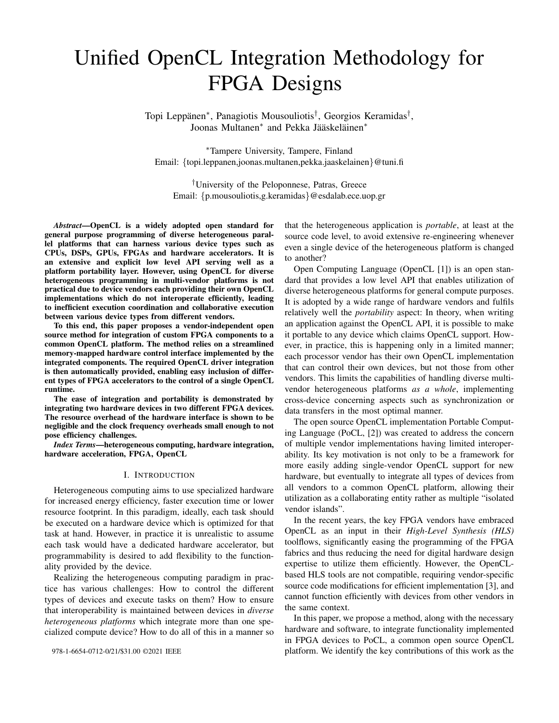# Unified OpenCL Integration Methodology for FPGA Designs

Topi Leppänen\*, Panagiotis Mousouliotis<sup>†</sup>, Georgios Keramidas<sup>†</sup>, Joonas Multanen<sup>\*</sup> and Pekka Jääskeläinen<sup>\*</sup>

<sup>∗</sup>Tampere University, Tampere, Finland Email: {topi.leppanen,joonas.multanen,pekka.jaaskelainen}@tuni.fi

†University of the Peloponnese, Patras, Greece Email: {p.mousouliotis,g.keramidas}@esdalab.ece.uop.gr

*Abstract*—OpenCL is a widely adopted open standard for general purpose programming of diverse heterogeneous parallel platforms that can harness various device types such as CPUs, DSPs, GPUs, FPGAs and hardware accelerators. It is an extensive and explicit low level API serving well as a platform portability layer. However, using OpenCL for diverse heterogeneous programming in multi-vendor platforms is not practical due to device vendors each providing their own OpenCL implementations which do not interoperate efficiently, leading to inefficient execution coordination and collaborative execution between various device types from different vendors.

To this end, this paper proposes a vendor-independent open source method for integration of custom FPGA components to a common OpenCL platform. The method relies on a streamlined memory-mapped hardware control interface implemented by the integrated components. The required OpenCL driver integration is then automatically provided, enabling easy inclusion of different types of FPGA accelerators to the control of a single OpenCL runtime.

The ease of integration and portability is demonstrated by integrating two hardware devices in two different FPGA devices. The resource overhead of the hardware interface is shown to be negligible and the clock frequency overheads small enough to not pose efficiency challenges.

*Index Terms*—heterogeneous computing, hardware integration, hardware acceleration, FPGA, OpenCL

#### I. INTRODUCTION

Heterogeneous computing aims to use specialized hardware for increased energy efficiency, faster execution time or lower resource footprint. In this paradigm, ideally, each task should be executed on a hardware device which is optimized for that task at hand. However, in practice it is unrealistic to assume each task would have a dedicated hardware accelerator, but programmability is desired to add flexibility to the functionality provided by the device.

Realizing the heterogeneous computing paradigm in practice has various challenges: How to control the different types of devices and execute tasks on them? How to ensure that interoperability is maintained between devices in *diverse heterogeneous platforms* which integrate more than one specialized compute device? How to do all of this in a manner so that the heterogeneous application is *portable*, at least at the source code level, to avoid extensive re-engineering whenever even a single device of the heterogeneous platform is changed to another?

Open Computing Language (OpenCL [1]) is an open standard that provides a low level API that enables utilization of diverse heterogeneous platforms for general compute purposes. It is adopted by a wide range of hardware vendors and fulfils relatively well the *portability* aspect: In theory, when writing an application against the OpenCL API, it is possible to make it portable to any device which claims OpenCL support. However, in practice, this is happening only in a limited manner; each processor vendor has their own OpenCL implementation that can control their own devices, but not those from other vendors. This limits the capabilities of handling diverse multivendor heterogeneous platforms *as a whole*, implementing cross-device concerning aspects such as synchronization or data transfers in the most optimal manner.

The open source OpenCL implementation Portable Computing Language (PoCL, [2]) was created to address the concern of multiple vendor implementations having limited interoperability. Its key motivation is not only to be a framework for more easily adding single-vendor OpenCL support for new hardware, but eventually to integrate all types of devices from all vendors to a common OpenCL platform, allowing their utilization as a collaborating entity rather as multiple "isolated vendor islands".

In the recent years, the key FPGA vendors have embraced OpenCL as an input in their *High-Level Synthesis (HLS)* toolflows, significantly easing the programming of the FPGA fabrics and thus reducing the need for digital hardware design expertise to utilize them efficiently. However, the OpenCLbased HLS tools are not compatible, requiring vendor-specific source code modifications for efficient implementation [3], and cannot function efficiently with devices from other vendors in the same context.

In this paper, we propose a method, along with the necessary hardware and software, to integrate functionality implemented in FPGA devices to PoCL, a common open source OpenCL platform. We identify the key contributions of this work as the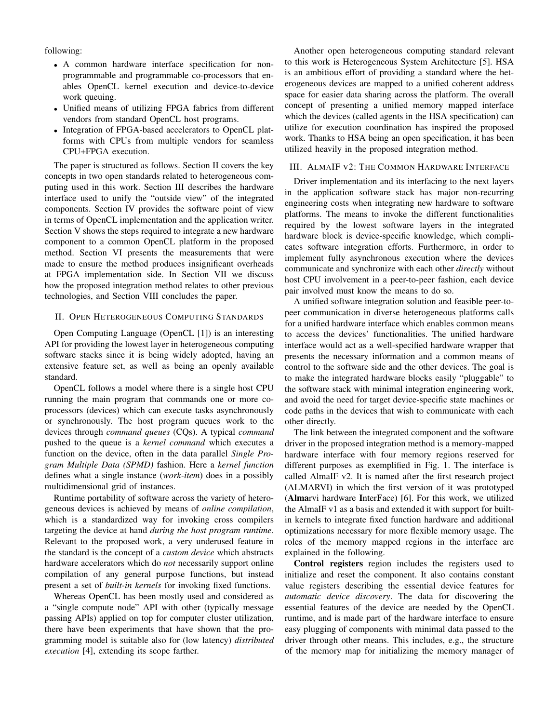following:

- A common hardware interface specification for nonprogrammable and programmable co-processors that enables OpenCL kernel execution and device-to-device work queuing.
- Unified means of utilizing FPGA fabrics from different vendors from standard OpenCL host programs.
- Integration of FPGA-based accelerators to OpenCL platforms with CPUs from multiple vendors for seamless CPU+FPGA execution.

The paper is structured as follows. Section II covers the key concepts in two open standards related to heterogeneous computing used in this work. Section III describes the hardware interface used to unify the "outside view" of the integrated components. Section IV provides the software point of view in terms of OpenCL implementation and the application writer. Section V shows the steps required to integrate a new hardware component to a common OpenCL platform in the proposed method. Section VI presents the measurements that were made to ensure the method produces insignificant overheads at FPGA implementation side. In Section VII we discuss how the proposed integration method relates to other previous technologies, and Section VIII concludes the paper.

### II. OPEN HETEROGENEOUS COMPUTING STANDARDS

Open Computing Language (OpenCL [1]) is an interesting API for providing the lowest layer in heterogeneous computing software stacks since it is being widely adopted, having an extensive feature set, as well as being an openly available standard.

OpenCL follows a model where there is a single host CPU running the main program that commands one or more coprocessors (devices) which can execute tasks asynchronously or synchronously. The host program queues work to the devices through *command queues* (CQs). A typical *command* pushed to the queue is a *kernel command* which executes a function on the device, often in the data parallel *Single Program Multiple Data (SPMD)* fashion. Here a *kernel function* defines what a single instance (*work-item*) does in a possibly multidimensional grid of instances.

Runtime portability of software across the variety of heterogeneous devices is achieved by means of *online compilation*, which is a standardized way for invoking cross compilers targeting the device at hand *during the host program runtime*. Relevant to the proposed work, a very underused feature in the standard is the concept of a *custom device* which abstracts hardware accelerators which do *not* necessarily support online compilation of any general purpose functions, but instead present a set of *built-in kernels* for invoking fixed functions.

Whereas OpenCL has been mostly used and considered as a "single compute node" API with other (typically message passing APIs) applied on top for computer cluster utilization, there have been experiments that have shown that the programming model is suitable also for (low latency) *distributed execution* [4], extending its scope farther.

Another open heterogeneous computing standard relevant to this work is Heterogeneous System Architecture [5]. HSA is an ambitious effort of providing a standard where the heterogeneous devices are mapped to a unified coherent address space for easier data sharing across the platform. The overall concept of presenting a unified memory mapped interface which the devices (called agents in the HSA specification) can utilize for execution coordination has inspired the proposed work. Thanks to HSA being an open specification, it has been utilized heavily in the proposed integration method.

# III. ALMAIF V2: THE COMMON HARDWARE INTERFACE

Driver implementation and its interfacing to the next layers in the application software stack has major non-recurring engineering costs when integrating new hardware to software platforms. The means to invoke the different functionalities required by the lowest software layers in the integrated hardware block is device-specific knowledge, which complicates software integration efforts. Furthermore, in order to implement fully asynchronous execution where the devices communicate and synchronize with each other *directly* without host CPU involvement in a peer-to-peer fashion, each device pair involved must know the means to do so.

A unified software integration solution and feasible peer-topeer communication in diverse heterogeneous platforms calls for a unified hardware interface which enables common means to access the devices' functionalities. The unified hardware interface would act as a well-specified hardware wrapper that presents the necessary information and a common means of control to the software side and the other devices. The goal is to make the integrated hardware blocks easily "pluggable" to the software stack with minimal integration engineering work, and avoid the need for target device-specific state machines or code paths in the devices that wish to communicate with each other directly.

The link between the integrated component and the software driver in the proposed integration method is a memory-mapped hardware interface with four memory regions reserved for different purposes as exemplified in Fig. 1. The interface is called AlmaIF v2. It is named after the first research project (ALMARVI) in which the first version of it was prototyped (Almarvi hardware InterFace) [6]. For this work, we utilized the AlmaIF v1 as a basis and extended it with support for builtin kernels to integrate fixed function hardware and additional optimizations necessary for more flexible memory usage. The roles of the memory mapped regions in the interface are explained in the following.

Control registers region includes the registers used to initialize and reset the component. It also contains constant value registers describing the essential device features for *automatic device discovery*. The data for discovering the essential features of the device are needed by the OpenCL runtime, and is made part of the hardware interface to ensure easy plugging of components with minimal data passed to the driver through other means. This includes, e.g., the structure of the memory map for initializing the memory manager of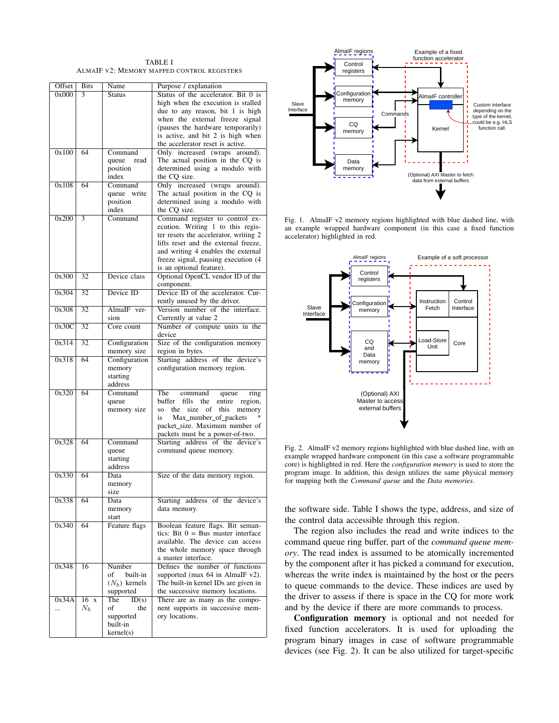TABLE I ALMAIF V2: MEMORY MAPPED CONTROL REGISTERS

| Offset | <b>Bits</b>     | Name                         | Purpose / explanation                                                                                         |  |  |
|--------|-----------------|------------------------------|---------------------------------------------------------------------------------------------------------------|--|--|
| 0x000  | 3               | <b>Status</b>                | Status of the accelerator. Bit 0 is<br>high when the execution is stalled<br>due to any reason, bit 1 is high |  |  |
|        |                 |                              | when the external freeze signal<br>(pauses the hardware temporarily)                                          |  |  |
|        |                 |                              | is active, and bit 2 is high when                                                                             |  |  |
| 0x100  | 64              | Command                      | the accelerator reset is active.<br>Only increased (wraps<br>around).                                         |  |  |
|        |                 | queue<br>read                | The actual position in the CQ is                                                                              |  |  |
|        |                 | position<br>index            | determined using a modulo with<br>the CQ size.                                                                |  |  |
| 0x108  | 64              | Command                      | Only increased (wraps around).                                                                                |  |  |
|        |                 | queue write                  | The actual position in the CQ is                                                                              |  |  |
|        |                 | position<br>index            | determined using a modulo with<br>the CQ size.                                                                |  |  |
| 0x200  | 3               | Command                      | Command register to control ex-                                                                               |  |  |
|        |                 |                              | ecution. Writing 1 to this regis-<br>ter resets the accelerator, writing 2                                    |  |  |
|        |                 |                              | lifts reset and the external freeze,                                                                          |  |  |
|        |                 |                              | and writing 4 enables the external                                                                            |  |  |
|        |                 |                              | freeze signal, pausing execution (4<br>is an optional feature).                                               |  |  |
| 0x300  | 32              | Device class                 | Optional OpenCL vendor ID of the                                                                              |  |  |
| 0x304  | 32              | Device ID                    | component.<br>Device ID of the accelerator. Cur-                                                              |  |  |
|        |                 |                              | rently unused by the driver.                                                                                  |  |  |
| 0x308  | 32              | AlmaIF ver-<br>sion          | Version number of the interface.<br>Currently at value 2                                                      |  |  |
| 0x30C  | $\overline{32}$ | Core count                   | Number of compute units in the                                                                                |  |  |
|        |                 |                              | device                                                                                                        |  |  |
| 0x314  | $\overline{32}$ | Configuration<br>memory size | Size of the configuration memory<br>region in bytes.                                                          |  |  |
| 0x318  | 64              | Configuration                | Starting address of the device's                                                                              |  |  |
|        |                 | memory<br>starting           | configuration memory region.                                                                                  |  |  |
|        |                 | address                      |                                                                                                               |  |  |
| 0x320  | 64              | Command                      | The<br>command<br>queue<br>ring<br>buffer<br>fills<br>entire<br>region,<br>the                                |  |  |
|        |                 | queue<br>memory size         | of<br>this<br>memory<br>the<br>size<br>SO                                                                     |  |  |
|        |                 |                              | Max_number_of_packets<br>is                                                                                   |  |  |
|        |                 |                              | packet_size. Maximum number of<br>packets must be a power-of-two.                                             |  |  |
| 0x328  | 64              | Command                      | Starting address of the device's                                                                              |  |  |
|        |                 | queue<br>starting            | command queue memory.                                                                                         |  |  |
|        |                 | address                      |                                                                                                               |  |  |
| 0x330  | 64              | Data                         | Size of the data memory region.                                                                               |  |  |
|        |                 | memory<br>size               |                                                                                                               |  |  |
| 0x338  | 64              | Data                         | Starting address of the device's                                                                              |  |  |
|        |                 | memory<br>start              | data memory.                                                                                                  |  |  |
| 0x340  | 64              | Feature flags                | Boolean feature flags. Bit seman-                                                                             |  |  |
|        |                 |                              | tics: Bit $0 = Bus$ master interface<br>available. The device can access                                      |  |  |
|        |                 |                              | the whole memory space through                                                                                |  |  |
|        |                 |                              | a master interface.                                                                                           |  |  |
| 0x348  | 16              | Number<br>built-in<br>of     | Defines the number of functions<br>supported (max $64$ in AlmaIF $v2$ ).                                      |  |  |
|        |                 | $(N_h)$ kernels              | The built-in kernel IDs are given in                                                                          |  |  |
| 0x34A  | $16 \times$     | supported<br>The<br>ID(s)    | the successive memory locations.<br>There are as many as the compo-                                           |  |  |
|        | $N_b$           | of<br>the                    | nent supports in successive mem-                                                                              |  |  |
|        |                 | supported                    | ory locations.                                                                                                |  |  |
|        |                 | built-in<br>kernel(s)        |                                                                                                               |  |  |
|        |                 |                              |                                                                                                               |  |  |



Fig. 1. AlmaIF v2 memory regions highlighted with blue dashed line, with an example wrapped hardware component (in this case a fixed function accelerator) highlighted in red.



Fig. 2. AlmaIF v2 memory regions highlighted with blue dashed line, with an example wrapped hardware component (in this case a software programmable core) is highlighted in red. Here the *configuration memory* is used to store the program image. In addition, this design utilizes the same physical memory for mapping both the *Command queue* and the *Data memories*.

the software side. Table I shows the type, address, and size of the control data accessible through this region.

The region also includes the read and write indices to the command queue ring buffer, part of the *command queue memory*. The read index is assumed to be atomically incremented by the component after it has picked a command for execution, whereas the write index is maintained by the host or the peers to queue commands to the device. These indices are used by the driver to assess if there is space in the CQ for more work and by the device if there are more commands to process.

Configuration memory is optional and not needed for fixed function accelerators. It is used for uploading the program binary images in case of software programmable devices (see Fig. 2). It can be also utilized for target-specific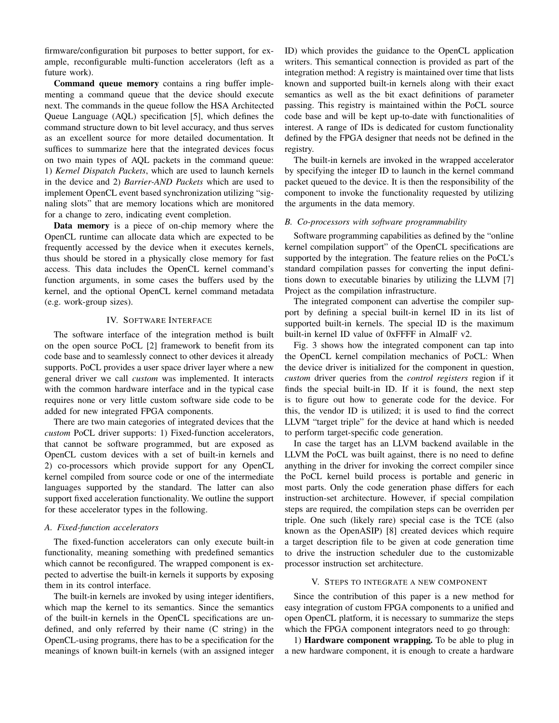firmware/configuration bit purposes to better support, for example, reconfigurable multi-function accelerators (left as a future work).

Command queue memory contains a ring buffer implementing a command queue that the device should execute next. The commands in the queue follow the HSA Architected Queue Language (AQL) specification [5], which defines the command structure down to bit level accuracy, and thus serves as an excellent source for more detailed documentation. It suffices to summarize here that the integrated devices focus on two main types of AQL packets in the command queue: 1) *Kernel Dispatch Packets*, which are used to launch kernels in the device and 2) *Barrier-AND Packets* which are used to implement OpenCL event based synchronization utilizing "signaling slots" that are memory locations which are monitored for a change to zero, indicating event completion.

Data memory is a piece of on-chip memory where the OpenCL runtime can allocate data which are expected to be frequently accessed by the device when it executes kernels, thus should be stored in a physically close memory for fast access. This data includes the OpenCL kernel command's function arguments, in some cases the buffers used by the kernel, and the optional OpenCL kernel command metadata (e.g. work-group sizes).

# IV. SOFTWARE INTERFACE

The software interface of the integration method is built on the open source PoCL [2] framework to benefit from its code base and to seamlessly connect to other devices it already supports. PoCL provides a user space driver layer where a new general driver we call *custom* was implemented. It interacts with the common hardware interface and in the typical case requires none or very little custom software side code to be added for new integrated FPGA components.

There are two main categories of integrated devices that the *custom* PoCL driver supports: 1) Fixed-function accelerators, that cannot be software programmed, but are exposed as OpenCL custom devices with a set of built-in kernels and 2) co-processors which provide support for any OpenCL kernel compiled from source code or one of the intermediate languages supported by the standard. The latter can also support fixed acceleration functionality. We outline the support for these accelerator types in the following.

# *A. Fixed-function accelerators*

The fixed-function accelerators can only execute built-in functionality, meaning something with predefined semantics which cannot be reconfigured. The wrapped component is expected to advertise the built-in kernels it supports by exposing them in its control interface.

The built-in kernels are invoked by using integer identifiers, which map the kernel to its semantics. Since the semantics of the built-in kernels in the OpenCL specifications are undefined, and only referred by their name (C string) in the OpenCL-using programs, there has to be a specification for the meanings of known built-in kernels (with an assigned integer ID) which provides the guidance to the OpenCL application writers. This semantical connection is provided as part of the integration method: A registry is maintained over time that lists known and supported built-in kernels along with their exact semantics as well as the bit exact definitions of parameter passing. This registry is maintained within the PoCL source code base and will be kept up-to-date with functionalities of interest. A range of IDs is dedicated for custom functionality defined by the FPGA designer that needs not be defined in the registry.

The built-in kernels are invoked in the wrapped accelerator by specifying the integer ID to launch in the kernel command packet queued to the device. It is then the responsibility of the component to invoke the functionality requested by utilizing the arguments in the data memory.

#### *B. Co-processors with software programmability*

Software programming capabilities as defined by the "online kernel compilation support" of the OpenCL specifications are supported by the integration. The feature relies on the PoCL's standard compilation passes for converting the input definitions down to executable binaries by utilizing the LLVM [7] Project as the compilation infrastructure.

The integrated component can advertise the compiler support by defining a special built-in kernel ID in its list of supported built-in kernels. The special ID is the maximum built-in kernel ID value of 0xFFFF in AlmaIF v2.

Fig. 3 shows how the integrated component can tap into the OpenCL kernel compilation mechanics of PoCL: When the device driver is initialized for the component in question, *custom* driver queries from the *control registers* region if it finds the special built-in ID. If it is found, the next step is to figure out how to generate code for the device. For this, the vendor ID is utilized; it is used to find the correct LLVM "target triple" for the device at hand which is needed to perform target-specific code generation.

In case the target has an LLVM backend available in the LLVM the PoCL was built against, there is no need to define anything in the driver for invoking the correct compiler since the PoCL kernel build process is portable and generic in most parts. Only the code generation phase differs for each instruction-set architecture. However, if special compilation steps are required, the compilation steps can be overriden per triple. One such (likely rare) special case is the TCE (also known as the OpenASIP) [8] created devices which require a target description file to be given at code generation time to drive the instruction scheduler due to the customizable processor instruction set architecture.

### V. STEPS TO INTEGRATE A NEW COMPONENT

Since the contribution of this paper is a new method for easy integration of custom FPGA components to a unified and open OpenCL platform, it is necessary to summarize the steps which the FPGA component integrators need to go through:

1) Hardware component wrapping. To be able to plug in a new hardware component, it is enough to create a hardware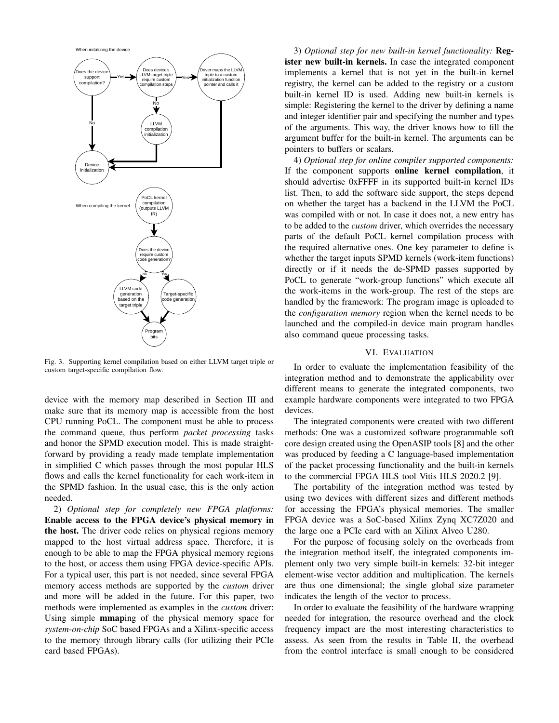

Fig. 3. Supporting kernel compilation based on either LLVM target triple or custom target-specific compilation flow.

device with the memory map described in Section III and make sure that its memory map is accessible from the host CPU running PoCL. The component must be able to process the command queue, thus perform *packet processing* tasks and honor the SPMD execution model. This is made straightforward by providing a ready made template implementation in simplified C which passes through the most popular HLS flows and calls the kernel functionality for each work-item in the SPMD fashion. In the usual case, this is the only action needed.

2) *Optional step for completely new FPGA platforms:* Enable access to the FPGA device's physical memory in the host. The driver code relies on physical regions memory mapped to the host virtual address space. Therefore, it is enough to be able to map the FPGA physical memory regions to the host, or access them using FPGA device-specific APIs. For a typical user, this part is not needed, since several FPGA memory access methods are supported by the *custom* driver and more will be added in the future. For this paper, two methods were implemented as examples in the *custom* driver: Using simple mmaping of the physical memory space for *system-on-chip* SoC based FPGAs and a Xilinx-specific access to the memory through library calls (for utilizing their PCIe card based FPGAs).

3) *Optional step for new built-in kernel functionality:* Register new built-in kernels. In case the integrated component implements a kernel that is not yet in the built-in kernel registry, the kernel can be added to the registry or a custom built-in kernel ID is used. Adding new built-in kernels is simple: Registering the kernel to the driver by defining a name and integer identifier pair and specifying the number and types of the arguments. This way, the driver knows how to fill the argument buffer for the built-in kernel. The arguments can be pointers to buffers or scalars.

4) *Optional step for online compiler supported components:* If the component supports online kernel compilation, it should advertise 0xFFFF in its supported built-in kernel IDs list. Then, to add the software side support, the steps depend on whether the target has a backend in the LLVM the PoCL was compiled with or not. In case it does not, a new entry has to be added to the *custom* driver, which overrides the necessary parts of the default PoCL kernel compilation process with the required alternative ones. One key parameter to define is whether the target inputs SPMD kernels (work-item functions) directly or if it needs the de-SPMD passes supported by PoCL to generate "work-group functions" which execute all the work-items in the work-group. The rest of the steps are handled by the framework: The program image is uploaded to the *configuration memory* region when the kernel needs to be launched and the compiled-in device main program handles also command queue processing tasks.

## VI. EVALUATION

In order to evaluate the implementation feasibility of the integration method and to demonstrate the applicability over different means to generate the integrated components, two example hardware components were integrated to two FPGA devices.

The integrated components were created with two different methods: One was a customized software programmable soft core design created using the OpenASIP tools [8] and the other was produced by feeding a C language-based implementation of the packet processing functionality and the built-in kernels to the commercial FPGA HLS tool Vitis HLS 2020.2 [9].

The portability of the integration method was tested by using two devices with different sizes and different methods for accessing the FPGA's physical memories. The smaller FPGA device was a SoC-based Xilinx Zynq XC7Z020 and the large one a PCIe card with an Xilinx Alveo U280.

For the purpose of focusing solely on the overheads from the integration method itself, the integrated components implement only two very simple built-in kernels: 32-bit integer element-wise vector addition and multiplication. The kernels are thus one dimensional; the single global size parameter indicates the length of the vector to process.

In order to evaluate the feasibility of the hardware wrapping needed for integration, the resource overhead and the clock frequency impact are the most interesting characteristics to assess. As seen from the results in Table II, the overhead from the control interface is small enough to be considered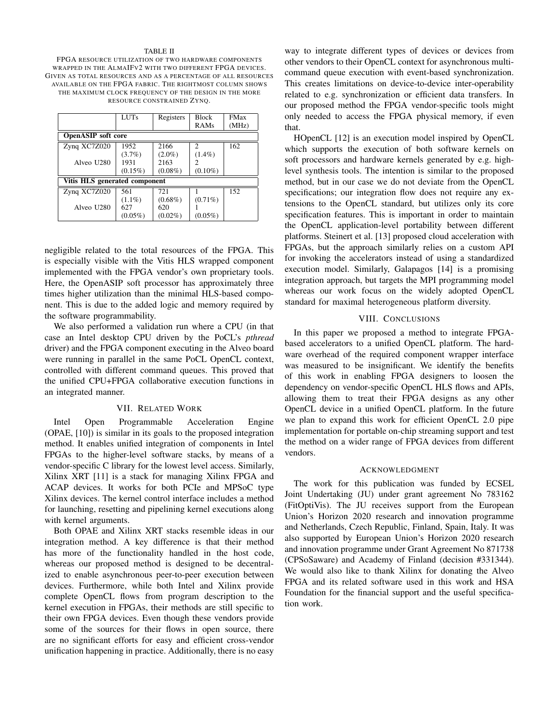#### TABLE II

FPGA RESOURCE UTILIZATION OF TWO HARDWARE COMPONENTS WRAPPED IN THE ALMAIFV2 WITH TWO DIFFERENT FPGA DEVICES. GIVEN AS TOTAL RESOURCES AND AS A PERCENTAGE OF ALL RESOURCES AVAILABLE ON THE FPGA FABRIC. THE RIGHTMOST COLUMN SHOWS THE MAXIMUM CLOCK FREQUENCY OF THE DESIGN IN THE MORE RESOURCE CONSTRAINED ZYNQ.

|                               | LUTs       | Registers  | <b>Block</b>                | <b>FMax</b> |  |  |  |  |
|-------------------------------|------------|------------|-----------------------------|-------------|--|--|--|--|
|                               |            |            | RAMs                        | (MHz)       |  |  |  |  |
| <b>OpenASIP</b> soft core     |            |            |                             |             |  |  |  |  |
| Zynq XC7Z020                  | 1952       | 2166       | $\mathcal{D}_{\mathcal{L}}$ | 162         |  |  |  |  |
|                               | $(3.7\%)$  | $(2.0\%)$  | $(1.4\%)$                   |             |  |  |  |  |
| Alveo U <sub>280</sub>        | 1931       | 2163       |                             |             |  |  |  |  |
|                               | $(0.15\%)$ | $(0.08\%)$ | $(0.10\%)$                  |             |  |  |  |  |
| Vitis HLS generated component |            |            |                             |             |  |  |  |  |
| Zynq XC7Z020                  | 561        | 721        |                             | 152         |  |  |  |  |
|                               | $(1.1\%)$  | $(0.68\%)$ | $(0.71\%)$                  |             |  |  |  |  |
| Alveo U <sub>280</sub>        | 627        | 620        |                             |             |  |  |  |  |
|                               | $(0.05\%)$ | $(0.02\%)$ | $(0.05\%)$                  |             |  |  |  |  |

negligible related to the total resources of the FPGA. This is especially visible with the Vitis HLS wrapped component implemented with the FPGA vendor's own proprietary tools. Here, the OpenASIP soft processor has approximately three times higher utilization than the minimal HLS-based component. This is due to the added logic and memory required by the software programmability.

We also performed a validation run where a CPU (in that case an Intel desktop CPU driven by the PoCL's *pthread* driver) and the FPGA component executing in the Alveo board were running in parallel in the same PoCL OpenCL context, controlled with different command queues. This proved that the unified CPU+FPGA collaborative execution functions in an integrated manner.

#### VII. RELATED WORK

Intel Open Programmable Acceleration Engine (OPAE, [10]) is similar in its goals to the proposed integration method. It enables unified integration of components in Intel FPGAs to the higher-level software stacks, by means of a vendor-specific C library for the lowest level access. Similarly, Xilinx XRT [11] is a stack for managing Xilinx FPGA and ACAP devices. It works for both PCIe and MPSoC type Xilinx devices. The kernel control interface includes a method for launching, resetting and pipelining kernel executions along with kernel arguments.

Both OPAE and Xilinx XRT stacks resemble ideas in our integration method. A key difference is that their method has more of the functionality handled in the host code, whereas our proposed method is designed to be decentralized to enable asynchronous peer-to-peer execution between devices. Furthermore, while both Intel and Xilinx provide complete OpenCL flows from program description to the kernel execution in FPGAs, their methods are still specific to their own FPGA devices. Even though these vendors provide some of the sources for their flows in open source, there are no significant efforts for easy and efficient cross-vendor unification happening in practice. Additionally, there is no easy

way to integrate different types of devices or devices from other vendors to their OpenCL context for asynchronous multicommand queue execution with event-based synchronization. This creates limitations on device-to-device inter-operability related to e.g. synchronization or efficient data transfers. In our proposed method the FPGA vendor-specific tools might only needed to access the FPGA physical memory, if even that.

HOpenCL [12] is an execution model inspired by OpenCL which supports the execution of both software kernels on soft processors and hardware kernels generated by e.g. highlevel synthesis tools. The intention is similar to the proposed method, but in our case we do not deviate from the OpenCL specifications; our integration flow does not require any extensions to the OpenCL standard, but utilizes only its core specification features. This is important in order to maintain the OpenCL application-level portability between different platforms. Steinert et al. [13] proposed cloud acceleration with FPGAs, but the approach similarly relies on a custom API for invoking the accelerators instead of using a standardized execution model. Similarly, Galapagos [14] is a promising integration approach, but targets the MPI programming model whereas our work focus on the widely adopted OpenCL standard for maximal heterogeneous platform diversity.

#### VIII. CONCLUSIONS

In this paper we proposed a method to integrate FPGAbased accelerators to a unified OpenCL platform. The hardware overhead of the required component wrapper interface was measured to be insignificant. We identify the benefits of this work in enabling FPGA designers to loosen the dependency on vendor-specific OpenCL HLS flows and APIs, allowing them to treat their FPGA designs as any other OpenCL device in a unified OpenCL platform. In the future we plan to expand this work for efficient OpenCL 2.0 pipe implementation for portable on-chip streaming support and test the method on a wider range of FPGA devices from different vendors.

#### ACKNOWLEDGMENT

The work for this publication was funded by ECSEL Joint Undertaking (JU) under grant agreement No 783162 (FitOptiVis). The JU receives support from the European Union's Horizon 2020 research and innovation programme and Netherlands, Czech Republic, Finland, Spain, Italy. It was also supported by European Union's Horizon 2020 research and innovation programme under Grant Agreement No 871738 (CPSoSaware) and Academy of Finland (decision #331344). We would also like to thank Xilinx for donating the Alveo FPGA and its related software used in this work and HSA Foundation for the financial support and the useful specification work.